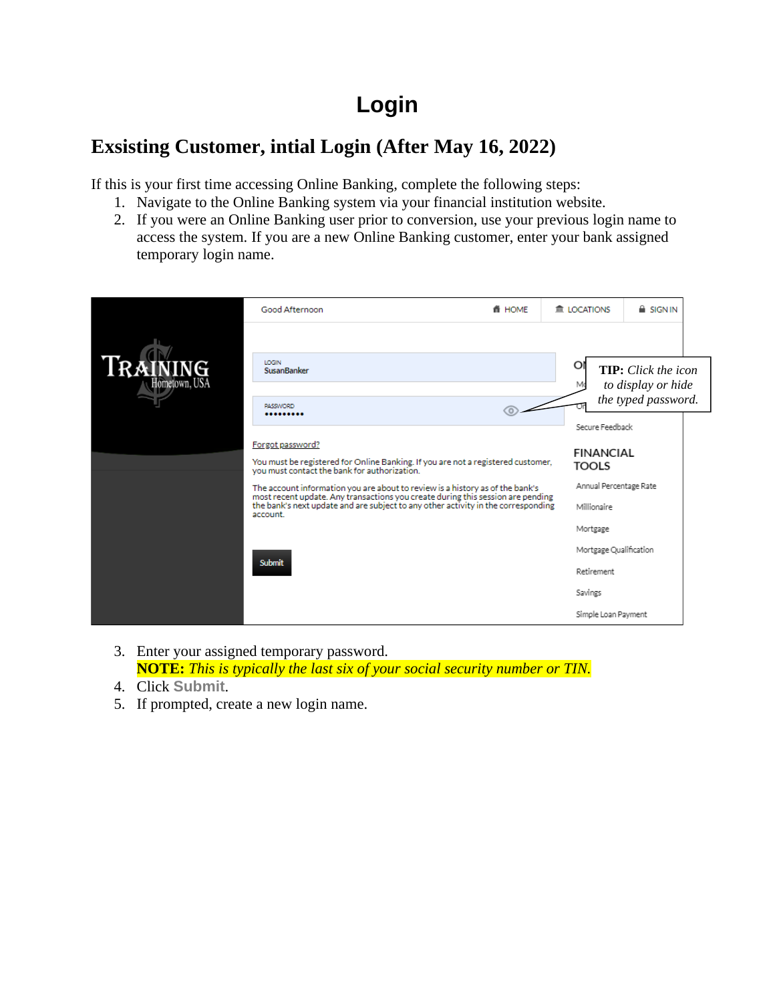## **Login**

## **Exsisting Customer, intial Login (After May 16, 2022)**

If this is your first time accessing Online Banking, complete the following steps:

- 1. Navigate to the Online Banking system via your financial institution website.
- 2. If you were an Online Banking user prior to conversion, use your previous login name to access the system. If you are a new Online Banking customer, enter your bank assigned temporary login name.



- 3. Enter your assigned temporary password. **NOTE:** *This is typically the last six of your social security number or TIN.*
- 4. Click **Submit**.
- 5. If prompted, create a new login name.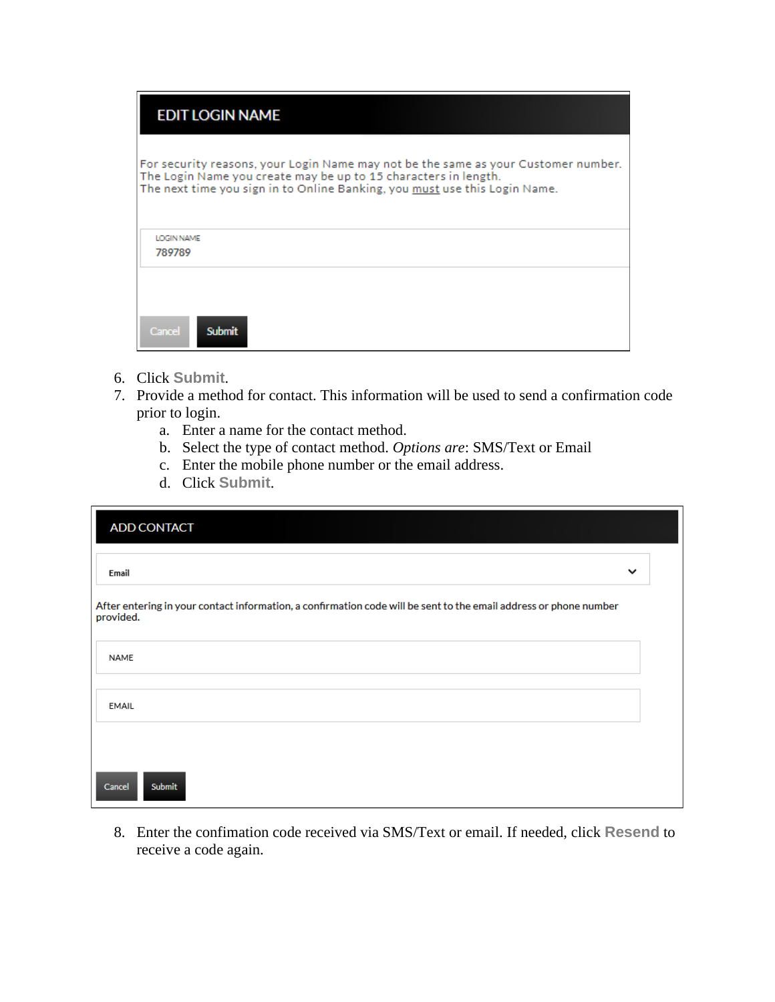| <b>EDIT LOGIN NAME</b>                                                                                                                                                                                                              |
|-------------------------------------------------------------------------------------------------------------------------------------------------------------------------------------------------------------------------------------|
| For security reasons, your Login Name may not be the same as your Customer number.<br>The Login Name you create may be up to 15 characters in length.<br>The next time you sign in to Online Banking, you must use this Login Name. |
| <b>LOGIN NAME</b><br>789789                                                                                                                                                                                                         |
| Cancel<br><b>Submit</b>                                                                                                                                                                                                             |

- 6. Click **Submit**.
- 7. Provide a method for contact. This information will be used to send a confirmation code prior to login.
	- a. Enter a name for the contact method.
	- b. Select the type of contact method. *Options are*: SMS/Text or Email
	- c. Enter the mobile phone number or the email address.
	- d. Click **Submit**.

| <b>ADD CONTACT</b>                                                                                                             |              |
|--------------------------------------------------------------------------------------------------------------------------------|--------------|
| Email                                                                                                                          | $\checkmark$ |
| After entering in your contact information, a confirmation code will be sent to the email address or phone number<br>provided. |              |
| NAME                                                                                                                           |              |
| EMAIL                                                                                                                          |              |
| <b>Submit</b><br>Cancel                                                                                                        |              |

8. Enter the confimation code received via SMS/Text or email. If needed, click **Resend** to receive a code again.